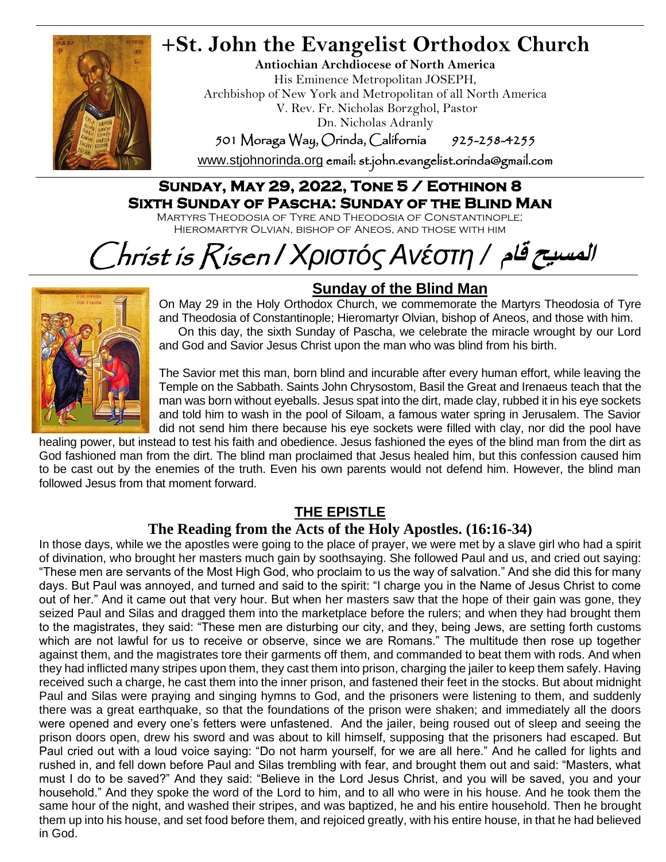

# **+St. John the Evangelist Orthodox Church**

**Antiochian Archdiocese of North America** His Eminence Metropolitan JOSEPH, Archbishop of New York and Metropolitan of all North America V. Rev. Fr. Nicholas Borzghol, Pastor Dn. Nicholas Adranly

501 Moraga Way, Orinda, California 925-258-4255

[www.stjohnorinda.org](http://www.stjohnorinda.org/) email: st.john.evangelist.orinda@gmail.com

### **Sunday, May 29, 2022, Tone 5 / Eothinon 8 Sixth Sunday of Pascha: Sunday of the Blind Man**

Martyrs Theodosia of Tyre and Theodosia of Constantinople; Hieromartyr Olvian, bishop of Aneos, and those with him

# Christ is Risen */ ΧριστόςΑνέστη /* **قام المسيح**



## **Sunday of the Blind Man**

On May 29 in the Holy Orthodox Church, we commemorate the Martyrs Theodosia of Tyre and Theodosia of Constantinople; Hieromartyr Olvian, bishop of Aneos, and those with him. On this day, the sixth Sunday of Pascha, we celebrate the miracle wrought by our Lord and God and Savior Jesus Christ upon the man who was blind from his birth.

The Savior met this man, born blind and incurable after every human effort, while leaving the Temple on the Sabbath. Saints John Chrysostom, Basil the Great and Irenaeus teach that the man was born without eyeballs. Jesus spat into the dirt, made clay, rubbed it in his eye sockets and told him to wash in the pool of Siloam, a famous water spring in Jerusalem. The Savior did not send him there because his eye sockets were filled with clay, nor did the pool have

healing power, but instead to test his faith and obedience. Jesus fashioned the eyes of the blind man from the dirt as God fashioned man from the dirt. The blind man proclaimed that Jesus healed him, but this confession caused him to be cast out by the enemies of the truth. Even his own parents would not defend him. However, the blind man followed Jesus from that moment forward.

#### **THE EPISTLE**

#### **The Reading from the Acts of the Holy Apostles. (16:16-34)**

In those days, while we the apostles were going to the place of prayer, we were met by a slave girl who had a spirit of divination, who brought her masters much gain by soothsaying. She followed Paul and us, and cried out saying: "These men are servants of the Most High God, who proclaim to us the way of salvation." And she did this for many days. But Paul was annoyed, and turned and said to the spirit: "I charge you in the Name of Jesus Christ to come out of her." And it came out that very hour. But when her masters saw that the hope of their gain was gone, they seized Paul and Silas and dragged them into the marketplace before the rulers; and when they had brought them to the magistrates, they said: "These men are disturbing our city, and they, being Jews, are setting forth customs which are not lawful for us to receive or observe, since we are Romans." The multitude then rose up together against them, and the magistrates tore their garments off them, and commanded to beat them with rods. And when they had inflicted many stripes upon them, they cast them into prison, charging the jailer to keep them safely. Having received such a charge, he cast them into the inner prison, and fastened their feet in the stocks. But about midnight Paul and Silas were praying and singing hymns to God, and the prisoners were listening to them, and suddenly there was a great earthquake, so that the foundations of the prison were shaken; and immediately all the doors were opened and every one's fetters were unfastened. And the jailer, being roused out of sleep and seeing the prison doors open, drew his sword and was about to kill himself, supposing that the prisoners had escaped. But Paul cried out with a loud voice saying: "Do not harm yourself, for we are all here." And he called for lights and rushed in, and fell down before Paul and Silas trembling with fear, and brought them out and said: "Masters, what must I do to be saved?" And they said: "Believe in the Lord Jesus Christ, and you will be saved, you and your household." And they spoke the word of the Lord to him, and to all who were in his house. And he took them the same hour of the night, and washed their stripes, and was baptized, he and his entire household. Then he brought them up into his house, and set food before them, and rejoiced greatly, with his entire house, in that he had believed in God.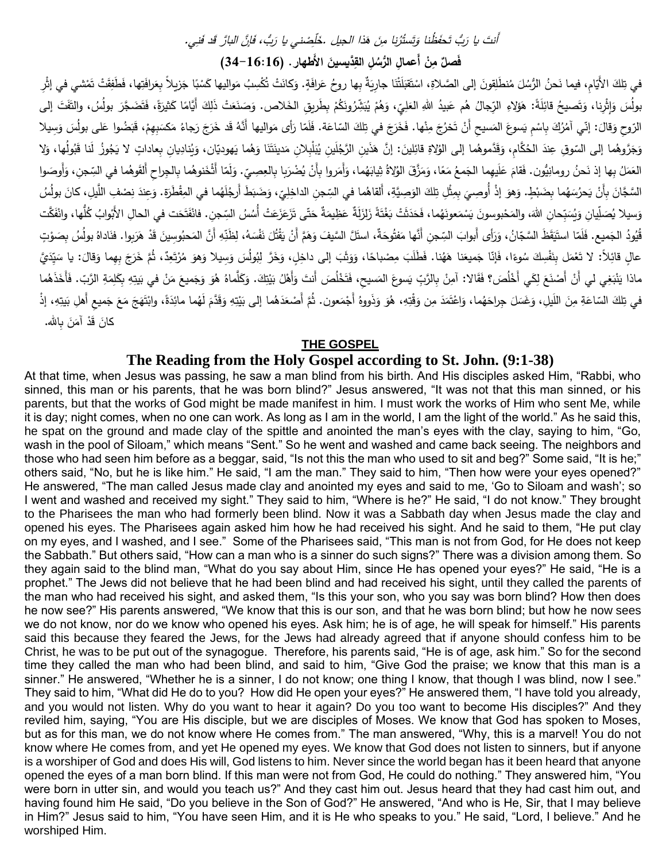#### اَّنتَ يا رَبُّ تَحفَظُنا وَتَستُرُنا مِنَ هَذا الجيل .خَلِّصْني يا رَبُّ، فَا<sub>ئِ</sub>نَّ البارَّ قَد فَنِي. .خَلَصْني يا رَبُ، فَا

فَصلٌ مِنْ أَعمالِ الرُّسُلِ القِّنَيسينَ الأَطهارِ . (16:16-34) **َ**

في تِلكَ الأَيَامِ، فيما نَحنُ الرُّسُلَ مُنطَلِقونَ إلى الصَّلاةِ، اسْتَقبَلَتْنَا جارِيَةٌ بِها روحُ عَرافَةٍ. وَكانَتْ تُكْسِبُ مَواليها كَسْبَا جَزيلاً بِعَرافَةِ و اللهُ عَنْ الْمُر َ َ <u>َ</u> َ ٔ ـ  $\ddot{\phantom{0}}$ َ ْ <u>َ</u>ّ ٔ<br>ا ا<br>ا َ َ ْ َ بولُسَ وَإِثْرِنا، وَتَصيحُ قائِلَةً: هَؤلاءِ الرِّجالُ هُم عَبيدُ اللهِ العَلِيِّ، وَهُمْ يُبَشِّرُونَكُمْ بِطَريقِ الخَلاص. وَصَنَعَتْ ذَلِكَ أَيَّامًا كَثيرَةً، فَتَضَجَّرَ بولُسُ، والتَّفَتَ إلى<br>. َ م<br>أ َ َ ٔ<br>ا َ ْ َ ْ َ َ َ َ الرّوحِ وَقالَ: إنّي آمُرُكَ بِاسْمِ يَسوعَ المَسيحِ أَنْ تَخرُجَ مِنْها. فَخَرَجَ في تِلكَ السّاعَة. فَلَمَا رَأى مَواليها أَنَّهُ قَد خَرَجَ رَجاءُ مَكسَبِهِمْ، قَبَضُوا عَلى بولُسَ وَسِيلا َ .<br>. َ َ َ َ َ <u>:</u> َ َ ْ َ ْ ا<br>ا َ َ َ وَجَرَّوهُما إلى السّوقِ عِندَ الحُكَّامِ، وَقَدَّموهُما إلى الوُلاةِ قائِلينَ: إنَّ هَذَينِ الرَّجُلَينِ يُبَلْبِلانِ مَدينَتَنَا وَهُما يَهوديّان، وَيُنادِيانِ بِعاداتٍ لا يَجُوزُ لَنا قَبُولُها، وَلا ً<br>ً َ َ <u>َ</u> َ َ ــٰ َ <u>َ</u> َ َ العَمَلُ بِها إذ نَحنُ رومانِيُّون. فَقامَ عَلَيهِما الجَمعُ مَعًا، وَمَزَّقَ الوُلاةُ ثِيابَهُما، وَأَمَروا بِأَنْ يُضْرَبا بِالعِصِيِّ. وَلَمَا أَثْخَنوهُما بِالجِراحِ أَلقَوهُما في السِّجنِ، وَأَوصَوا<br>. .<br>ا .<br>-ً<br>ً َ **ٔ**  $\overline{\phantom{0}}$ ً َ ً ֺ֧<sup>֓</sup> َ َ َ َ السَّجَّانَ بِأَنْ يَحرُسَهُما بِضَبْطٍ. وَهوَ إذْ أُوصِيَ بِمِثْلِ تِلكَ الوَصِيَّةِ، أَلقاهُما في السِّجنِ الداخِلِيِّ، وَضَبَطَ أَرجُلَهُما في المِقْطَرَة. وَعِندَ نِصْفِ اللَّيلِ، كانَ بولُسُ <u>:</u> َ َ Ì َ َ <u>ٔ</u> َ َ َ **ٔ** ٔ<br>ا َ وَسيلا يُصَلِّيانِ وَيُسَبِّحانِ اللهَ، والمَحْبوسونَ يَسْمَعونَهُما، فَحَدَثَتْ بَغْتَةً زَلزَلَةٌ عَظِيمَةٌ حَتّى تَزَعَزَعَتْ أُسُسُ السِّجنِ. فانْفَتَحَت في الحالِ الأَبْوابُ كُلُّها، وانْفَكَّت .<br>م .<br>. ٔ. َ ــٰ َ َ ْ  $\ddot{\phantom{0}}$ **ٔ** َ َ **ٔ** .<br>م ْ َ َ َ .<br>ا .<br>ا قُيُودُ الجَميع. فَلَمّا استَيَقَظَ السَّجّانُ، وَرَأَى أَبوابَ السِّجنِ أَنَّها مَفتُوحَةٌ، استَلَّ السَّيفَ وَهَمَّ أَنْ يَقْتُلَ نَفْسَهُ، لِظَنِّهِ أَنَّ المَحبُوسِينَ قَدْ هَرَبوا. فنَاداهُ بولُسُ بِصَوْتٍ <u>َ</u> .<br>-َ َ ֺ֩<mark>֚</mark>֕֘ َ ً **ٔ** َ َ .<br>ا  $\frac{1}{2}$ ــد<br>ا انا<br>ا  $\overline{a}$ ْ <u>َ</u> ً<br>ً عالٍ قائِلاً: لا تَعْمَل بِنَفْسِكَ سُوءًا، فَإِنّا جَميعَنا هَهُنا. فَطَلَبَ مِصْباحًا، وَوَثَبَ إلى داخِلٍ، وَخَرَّ لِبُولُسَ وَسِيلا وَهوَ مُرْتَعِدٌ، ثُمَّ خَرَجَ بِهِما وَقالَ: يا سَيِّدَيَّ َ َ **ٔ** َ َ **ٔ** َ َ ֺ֧<sup>ֺ</sup> َ ْ انا<br>ا ْ .<br>ا َ َ َ ماذا يَنْبَغِي لي أَنْ أَصْنَعَ لِكَي أَخْلُصَ؟ فَقَالا: آمِنْ بِالرَّبِّ يَسوعَ المَسيحِ، فَتَخْلُصَ أَنتَ وَأَهْلُ بَيْتِكَ. وَكَلَّماهُ هُوَ وَجَميعَ مَنْ في بَيتِهِ بِكَلِمَةِ الرَّبّ. فَأَخَذَهُما ٔ<br>ا ْ ١. َ َ َ <u>:</u> .<br>م  $\zeta$ .<br>-<u>ا</u> . <u>:</u> َ  $\zeta$ َ َ َ َ َ َ في تِلكَ السّاعَةِ مِنَ اللّيلِ، وَغَسَلَ جِراحَهُما، وَاعْتَمَدَ مِن وَقْتِهِ، هُوَ وَذَووهُ أَجْمَعون. ثُمَّ أَصْعَدَهُما إلى بَيْتِهِ وَقَدَّمَ لَهُما مائِدَةً، وابْتَهَجَ مَعَ جَميعِ أَهلِ بَيتِهِ، إذْ َ  $\overline{a}$ ً<br>ب َ َ َ **ٔ** ــٰ َ <u>َ</u>ّ َ **ٔ** ا<br>ا َ ٔ<br>ّ ֺ<u>֡</u> َ َ َ َ ْ ِباهلل. َ ن َ آم َد ق َ كان .<br>-<br>-

#### **THE GOSPEL**

#### **The Reading from the Holy Gospel according to St. John. (9:1-38)**

At that time, when Jesus was passing, he saw a man blind from his birth. And His disciples asked Him, "Rabbi, who sinned, this man or his parents, that he was born blind?" Jesus answered, "It was not that this man sinned, or his parents, but that the works of God might be made manifest in him. I must work the works of Him who sent Me, while it is day; night comes, when no one can work. As long as I am in the world, I am the light of the world." As he said this, he spat on the ground and made clay of the spittle and anointed the man's eyes with the clay, saying to him, "Go, wash in the pool of Siloam," which means "Sent." So he went and washed and came back seeing. The neighbors and those who had seen him before as a beggar, said, "Is not this the man who used to sit and beg?" Some said, "It is he;" others said, "No, but he is like him." He said, "I am the man." They said to him, "Then how were your eyes opened?" He answered, "The man called Jesus made clay and anointed my eyes and said to me, 'Go to Siloam and wash'; so I went and washed and received my sight." They said to him, "Where is he?" He said, "I do not know." They brought to the Pharisees the man who had formerly been blind. Now it was a Sabbath day when Jesus made the clay and opened his eyes. The Pharisees again asked him how he had received his sight. And he said to them, "He put clay on my eyes, and I washed, and I see." Some of the Pharisees said, "This man is not from God, for He does not keep the Sabbath." But others said, "How can a man who is a sinner do such signs?" There was a division among them. So they again said to the blind man, "What do you say about Him, since He has opened your eyes?" He said, "He is a prophet." The Jews did not believe that he had been blind and had received his sight, until they called the parents of the man who had received his sight, and asked them, "Is this your son, who you say was born blind? How then does he now see?" His parents answered, "We know that this is our son, and that he was born blind; but how he now sees we do not know, nor do we know who opened his eyes. Ask him; he is of age, he will speak for himself." His parents said this because they feared the Jews, for the Jews had already agreed that if anyone should confess him to be Christ, he was to be put out of the synagogue. Therefore, his parents said, "He is of age, ask him." So for the second time they called the man who had been blind, and said to him, "Give God the praise; we know that this man is a sinner." He answered, "Whether he is a sinner, I do not know; one thing I know, that though I was blind, now I see." They said to him, "What did He do to you? How did He open your eyes?" He answered them, "I have told you already, and you would not listen. Why do you want to hear it again? Do you too want to become His disciples?" And they reviled him, saying, "You are His disciple, but we are disciples of Moses. We know that God has spoken to Moses, but as for this man, we do not know where He comes from." The man answered, "Why, this is a marvel! You do not know where He comes from, and yet He opened my eyes. We know that God does not listen to sinners, but if anyone is a worshiper of God and does His will, God listens to him. Never since the world began has it been heard that anyone opened the eyes of a man born blind. If this man were not from God, He could do nothing." They answered him, "You were born in utter sin, and would you teach us?" And they cast him out. Jesus heard that they had cast him out, and having found him He said, "Do you believe in the Son of God?" He answered, "And who is He, Sir, that I may believe in Him?" Jesus said to him, "You have seen Him, and it is He who speaks to you." He said, "Lord, I believe." And he worshiped Him.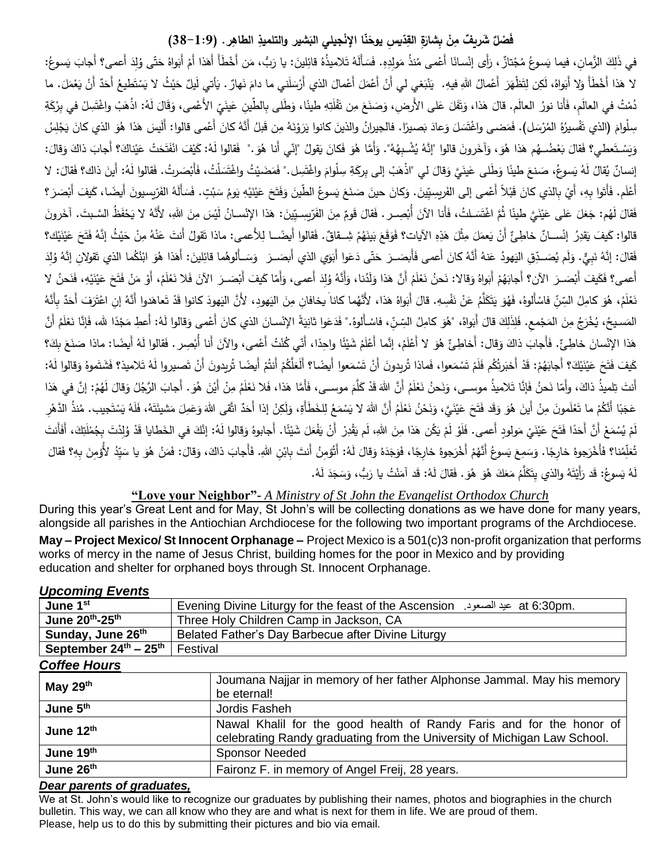#### **ْ** فَضلٌ شَريفٌ مِنْ بِشارَةِ القِدّيسِ يوحَنّا الإنْجيلي البَشير والتلميذِ الطاهِرِ . (1:9–38) **َ َ**

َ في ذَلِكَ الزَّمانِ، فيما يَسوعُ مُجْتازٌ ، رَأَى إنْسانًا أَعْمى مُنذُ مَولِدِهِ. فَسَأَلَهُ تَلاميذُهُ قائِلينَ: يا رَبُّ، مَن أَخْطَأَ أَهَذا أَمْ أَبَواهُ حَتّى وُلِدَ أَعمى؟ أَجابَ يَسوعُ: .<br>نم <u>َ</u> ا<br>ا َ ْ َ **ٔ** َ ١, ْ ى<br>ئا لا هَذا أَخْطَأَ وَلا أَبَواهُ، لَكِن لِتَظْهَرَ أَعْمالُ اللهِ فيهِ. يَنْبَغي لي أَنْ أَعْمَلَ أَعْمالَ الذي أَرْسَلَني ما دامَ نَهارٌ . يَأتي لَيلٌ حَيْثُ لا يَسْتَطيعُ أَحَدٌ أَنْ يَعْمَلَ. ما ْ .<br>. َ ْ .<br>-ْ ْ َ ٔ. َ ً<br>ً ٔ<br>ا ْ ٔ<br>ا ً<br>ً ْ .<br>-ؘ<br>ؘ ْ ا<br>ا  $\zeta$ دُمْتُ في العالَمِ، فَأَنا نورُ العالَم. قالَ هَذا، وَتَفَلَ عَلى الأَرضِ، وَصَنَعَ مِن تَفْلَتِهِ طينًا، وَطَلى بِالطّينِ عَينَيِّ الأَعْمى، وَقَالَ لَهُ: اذْهَبْ واغْتَسِلْ في بِرْكَةِ<br>مُمْتُ في العالَمِ، فَأَنا نورُ الع َ َ ٔ<br>ا <u>بَ</u> َ گا<br>ا ٔ<br>ا .<br>أ .<br>أ **ٔ**  $\overline{a}$ <u>ہ</u> َ ْ َ َ َ <u>َ</u> َ سِلْوامَ (الذي تَفْسيرُهُ المُرْسَل). فَمَضـى واغْتَسَلَ وَعادَ بَصـيرًا. فالجيرانُ والذينَ كانوا يَرَوْنَهُ مِن قَبلُ أَنَّهُ كانَ أَعْمى قالوا: أَلَيسَ هَذا هُوَ الذي كانَ يَجْلِسُ ْ .<br>. ۱. <u>َ</u> ٔ<br>ا َ  $\overline{a}$ ً<br>ب ً<br>ب ْ <u>َ</u> **ٔ** َ َ وَيَسْتَعطي؟ فَقالَ بَعْضُــهُم هَذا هُوَ، وَآخَرونَ قالوا "إِنَّهُ يُشْـبِهُهُ". وَأَمًا هُوَ فَكانَ يَقولُ "إِنِّي أنا هُوَ ." فَقالوا لَهُ: كَيْفَ انْفَتَحَتْ عَيْناكَ؟ أجابَ ذاكَ وَقالَ: <u>َ</u> <u>َ</u> َ َ ْ <u>َ</u>ّ َ َ ى<br>ئ ْ ْ َ .<br>ا ْ َ إنسانٌ يُقالُ لَهُ يَسوعُ، صَنعَ طينًا وَطَلى عَينَيَّ وَقالَ لي "ذْهَبْ إلى بِركَةِ سِلْوامَ واغْتَسِل." فَمَصَيْتُ واغْتَسَلْتُ، فَأَبْصَرتُ. فَقالوا لَهُ: أَينَ ذاك؟ فَقالَ: لا َ مُ **ٔ** ٔ<br>ا َ َ َ َ َ  $\mathbf{I}$ ً<br>ً َ َ أَعْلَم. فَأَتَوا بِهِ، أَيْ بِالذي كانَ قَبْلاً أَعْمى إلى الفَريسِيّينَ. وَكانَ حينَ صَنَعَ يَسوعُ الطّينَ وَفَتَحَ عَيْنَيْهِ يَومُ سَبْتٍ. فَسَأَلَهُ الفَرّيسيونَ أَيضًا، كَيفَ أَبْصَرَ ؟ َ  $\zeta$ َ َ <u>َ</u> ْ <u>َ</u> **ٔ** ْ ً<br>ا ْ َ .<br>ا **ٔ** َ **ٔ** َ فَقالَ لَهُم: جَعَلَ عَلى عَيْنَيَّ طينًا ثُمَّ اغْتَسَـلتُ، فَأَنا الآنَ أُبْصِـر . فَقالَ قَومٌ مِنَ الفَرّيسِـيِّينَ: هذا الإِنْسـانُ لَيْسَ مِنَ اللهِ، لأَنَّهُ لا يَحْفَظُ السَّـبتَ. آخَرونَ ى<br>ئ <u>َ</u> <u>َ</u> ٔ<br>ا <u>َ</u> َ ً<br>ً ْ َ **ٔ** قالوا: كَيفَ يَقدِرُ ۖ إِنْســانٌ خاطِئٌ أَنْ يَعمَلَ مِثْلَ هَذِهِ الآيات؟ فَوَقَعَ بَينَهُمْ شِــقاقٌ. فَقالوا أَيضًــا لِلأَعمى: ماذا نَقولُ أَنتَ عَنْهُ مِنْ حَيْثُ إِنَّهُ فَتَحَ عَيْنَيْك؟ ْ ١.  $\zeta$ َ ى<br>ئ ٔ<br>ا ٔ<br>ا ً<br>ً ٔ. <u>:</u> **ٔ** .<br>. .<br>. َ َ فَقالَ: إنَّهُ نَبِيٍّ. وَلَم يُصَــدِّقِ اليَهودُ عَنهُ أَنَّهُ كانَ أَعمى فَأَبِصَــرَ حَتّى دَعَوا أَبَوَي الذي أَبصَــرَ وَسَــأَلوهُما قائِلينَ: أَهَذا هُوَ ابْنُكُما الذي تَقولانِ إنَّهُ وُلِدَ َ ٔ, َ ْ َ ى<br>ئا <u>َ</u> ً<br>ا َ .<br>. َ ١. َ َ َ َ ِّ أَعمى؟ فَكَيفَ أَبْصَــرَ الآن؟ أَجابَهُمْ أَبَواهُ وَقالا: نَحنُ نَعْلَمُ أَنَّ هَذا وَلَدُنا، وَأَنَّهُ وُلِدَ أَعمى، وَأَمَّا كَيفَ أَبْصَــرَ الآنَ فَلا نَعْلَمُ، أَوْ مَنْ فَتَحَ عَيْنَيْهِ، فَنَحنُ لا َ ٔ<br>ا َ َ ى<br>ئا ْ َ ۱ ْ ٔ. <u>ٔ</u> ْ .<br>-ْ ْ <u>:</u> .<br>ا ً<br>ا َ <u>:</u> نَعْلَمُ، هُوَ كامِلُ السِّنِّ فاسْأَلوهُ، فَهُوَ يَتَكَلَّمُ عَنْ نَفْسِهِ. قالَ أَبَواهُ هَذا، لأَنَّهما كانا يخافانِ مِنَ اليَهودِ، لأَنَّ اليَهودَ كانوا قَدْ تَعاهَدوا أَنَّهُ إنِ اعْتَرَفَ أَحَدٌ بِأَنَّهُ ى<br>ئ ۱  $\overline{a}$ .<br>م <u>َ</u> .<br>-َ .<br>ا َ ْ ْ ِ<br>فا .<br>-.<br>. ٔ. ْ المَسيحُ، يُخْرَجُ مِنَ المَجْمعِ. فَلِذَلِكَ قالَ أَبَواهُ، "هُوَ كامِلُ السِّنِّ، فاسْأَلوهُ." فَدَعَوا ثانِيَةَ الإِنْسانَ الذي كانَ أَعْمى وَقالوا لَهُ: أَعطِ مَجْدًا لله، فَإِنَّا نَعْلَمُ أَنَّ ْ َ َ ٔ<br>ا َ َ **ٔ** ً<br>ً ْ **ٔ** َ ْ <u>َ</u> <u>َ</u> ٔ. َ هَذا الإنْسانَ خاطِئٌ. فَأَجابَ ذاكَ وَقال: أَخاطِئٌ هُوَ لا أَعْلَمُ، إنَّما أَعْلَمُ شَيْئًا واحِدًا، أَنِّي كُنْتُ أَعْمى، والآنَ أَنا أُبْصِر . فَقالوا لَهُ أَيضًا: ماذا صَنَعَ بِكَ؟ <u>َ</u>ّ ْ ْ َ ْ ْ َ َ **ٔ** َ <u>:</u> كَيفَ فَتَحَ عَيْنَيْكَ؟ أَجابَهُمْ: قَدْ أَخبَرتُكُم فَلَم تَسْمَعوا، فَماذا تُريدونَ أَنْ تَسْمَعوا أَيضًا؟ أَلَعَلَّكُمْ أَنتُمْ أَيضًا تُريدونَ أَنْ تَصميروا لَهُ تَلاميذ؟ فَشَتَموهُ وَقالوا لَهُ: ِّ َ ْ ْ َ ١. .<br>-ْ ٔ. .<br>. .<br>-<u>َ</u> ْ ْ َ َ ْ َ أَنتَ تِلميذُ ذاكَ، وأَمّا نَحنُ فَإِنَّا تَلاميذُ موســى، وَنَحنُ نَعْلَمُ أَنَّ اللهَ قَدْ كَلَّمَ موســى، فَأَمَّا هَذا، فَلا نَعْلَمُ مِنْ أَيْنَ هُوَ. أَجابَ الرَّجُلُ وَقالَ لَهُمْ: إنَّ في هَذا ى<br>ئ َ َ َ َ ْ َ َ .<br>-ْ ْ **ّ** َ عَجَبًا أَنَّكُمْ ما تَعْلَمونَ مِنْ أَينَ هُوَ وَقَد فَتَحَ عَيْنَيَّ، وَنَحْنُ نَعْلَمُ أَنَّ اللهَ لا يَسْمَعُ لِلخَطَأَةِ، وَلَكِنْ إذا أَحَدٌ اتَّقى اللهَ وَعَمِلَ مَشيئَتَهُ، فَلَهُ يَسْتَجيب. مُنذُ الدَّهْرِ ٔ<br>ـ ٔ ِ ْ ْ َ ْ َ َ َ <u>:</u> ْ ْ ْ َ َ َ  $\overline{a}$ َ َ َ َ <u>:</u> َ <u>ة</u> ْ لَمْ يُسْمَعْ أَنَّ أَحَدًا فَتَحَ عَيْنَيْ مَولودٍ أَعمى. فَلَوْ لَمْ يَكُن هَذا مِنَ اللهِ، لَم يَقْدِرْ أَنْ يَفْعَلَ شَيْئًا. أَجابوهُ وَقالوا لَهُ: إِنَّكَ في الخَطايا قَدْ وُلِدْتَ بِجُمْلَتِكَ، أَفَأَنتَ  $\overline{a}$ َ َ .<br>-.<br>ا <u>َ</u> ى<br>ئا ٔ. ْ ْ َ َ ْ .<br>. َ **ٔ** ْ ْ ا<br>ا َ َ ا<br>ا تُعَلِّمُنا؟ فَأَخْرَجوهُ خارِجًا. وَسَمِعَ يَسوعُ أَنَّهُمْ أَخْرَجوهُ خارِجًا، فَوَجَدَهُ وَقالَ لَهُ: أَتُؤمِنُ أَنتَ بِابْنِ اللهِ. فَأَجابَ ذاكَ، وَقالَ: فَمَنْ هُوَ يا سَيِّدُ لأُؤمِنَ بِهِ؟ فَقالَ َ ٔ<br>ّ  $\overline{a}$ َ َ **ٔ** َ ْ  $\overline{a}$ َ ٔ<br>ا َ َ ْ  $\zeta$ َ لَهُ يَسوعُ: قَد رَأَيْتَهُ والذي يِتَكَلَّمُ مَعَكَ هُوَ هُوَ . فَقالَ لَهُ: قَد آمَنْتُ يا رَبُّ، وَسَجَدَ لَهُ.  $\overline{a}$ َ َ َ َ .<br>. َ َ َ َ .<br>ا َ

#### **"Love your Neighbor"-** *A Ministry of St John the Evangelist Orthodox Church*

During this year's Great Lent and for May, St John's will be collecting donations as we have done for many years, alongside all parishes in the Antiochian Archdiocese for the following two important programs of the Archdiocese. **May – Project Mexico/ St Innocent Orphanage –** Project Mexico is a 501(c)3 non-profit organization that performs works of mercy in the name of Jesus Christ, building homes for the poor in Mexico and by providing education and shelter for orphaned boys through St. Innocent Orphanage.

| June 1st                                    | at 6:30pm. عيد الصعود. Evening Divine Liturgy for the feast of the Ascension                                                                     |  |  |
|---------------------------------------------|--------------------------------------------------------------------------------------------------------------------------------------------------|--|--|
| June 20th-25th                              | Three Holy Children Camp in Jackson, CA                                                                                                          |  |  |
| Sunday, June 26th                           | Belated Father's Day Barbecue after Divine Liturgy                                                                                               |  |  |
| September $24^{\text{th}} - 25^{\text{th}}$ | Festival                                                                                                                                         |  |  |
| <b>Coffee Hours</b>                         |                                                                                                                                                  |  |  |
| May 29th                                    | Joumana Najjar in memory of her father Alphonse Jammal. May his memory<br>be eternal!                                                            |  |  |
| June 5th                                    | Jordis Fasheh                                                                                                                                    |  |  |
| June 12th                                   | Nawal Khalil for the good health of Randy Faris and for the honor of<br>celebrating Randy graduating from the University of Michigan Law School. |  |  |
| June 19th                                   | <b>Sponsor Needed</b>                                                                                                                            |  |  |
| June 26th                                   | Faironz F. in memory of Angel Freij, 28 years.                                                                                                   |  |  |

#### *Upcoming Events*

#### *Dear parents of graduates,*

We at St. John's would like to recognize our graduates by publishing their names, photos and biographies in the church bulletin. This way, we can all know who they are and what is next for them in life. We are proud of them. Please, help us to do this by submitting their pictures and bio via email.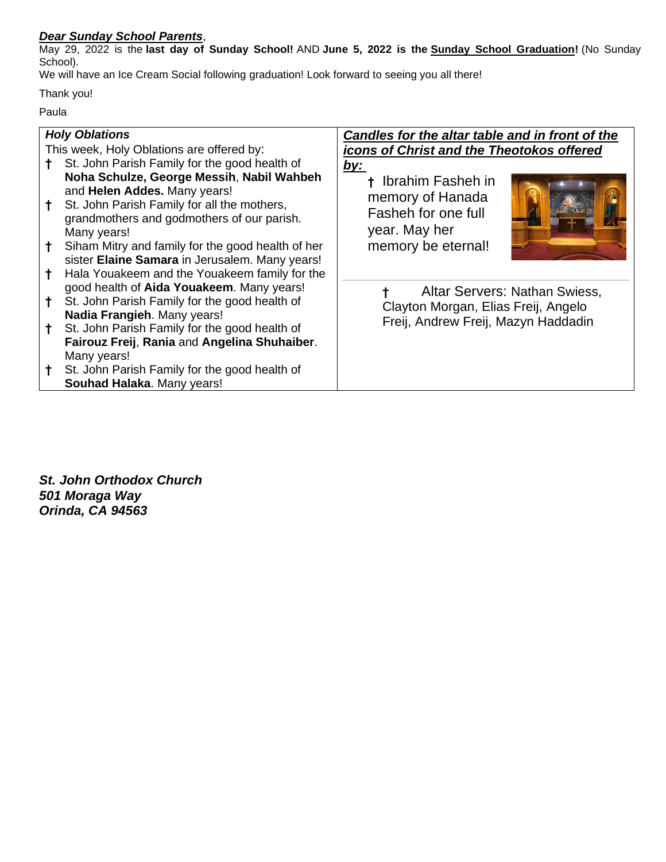#### *Dear Sunday School Parents*,

May 29, 2022 is the **last day of Sunday School!** AND **June 5, 2022 is the Sunday School Graduation!** (No Sunday School).

We will have an Ice Cream Social following graduation! Look forward to seeing you all there!

Thank you!

Paula

| <b>Holy Oblations</b>                     |                                                                                                                                                                                                                                            | Candles for the altar table and in front of the                                                       |
|-------------------------------------------|--------------------------------------------------------------------------------------------------------------------------------------------------------------------------------------------------------------------------------------------|-------------------------------------------------------------------------------------------------------|
| This week, Holy Oblations are offered by: |                                                                                                                                                                                                                                            | icons of Christ and the Theotokos offered                                                             |
|                                           | St. John Parish Family for the good health of                                                                                                                                                                                              | <u>by:</u>                                                                                            |
|                                           | Noha Schulze, George Messih, Nabil Wahbeh<br>and Helen Addes. Many years!<br>St. John Parish Family for all the mothers,<br>grandmothers and godmothers of our parish.<br>Many years!<br>Siham Mitry and family for the good health of her | + Ibrahim Fasheh in<br>memory of Hanada<br>Fasheh for one full<br>year. May her<br>memory be eternal! |
|                                           | sister Elaine Samara in Jerusalem. Many years!<br>Hala Youakeem and the Youakeem family for the                                                                                                                                            |                                                                                                       |
|                                           | good health of Aida Youakeem. Many years!<br>St. John Parish Family for the good health of<br>Nadia Frangieh. Many years!                                                                                                                  | Altar Servers: Nathan Swiess,<br>Clayton Morgan, Elias Freij, Angelo                                  |
|                                           | St. John Parish Family for the good health of<br>Fairouz Freij, Rania and Angelina Shuhaiber.<br>Many years!                                                                                                                               | Freij, Andrew Freij, Mazyn Haddadin                                                                   |
|                                           | St. John Parish Family for the good health of<br>Souhad Halaka. Many years!                                                                                                                                                                |                                                                                                       |

*St. John Orthodox Church 501 Moraga Way Orinda, CA 94563*